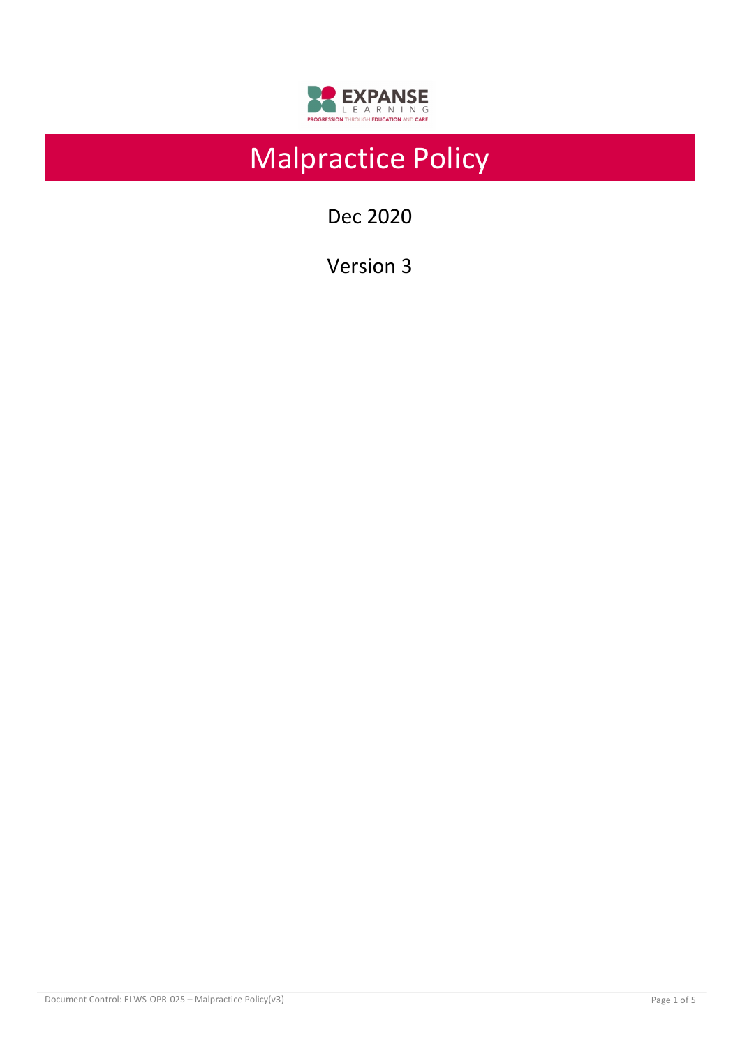

# Malpractice Policy

Dec 2020

Version 3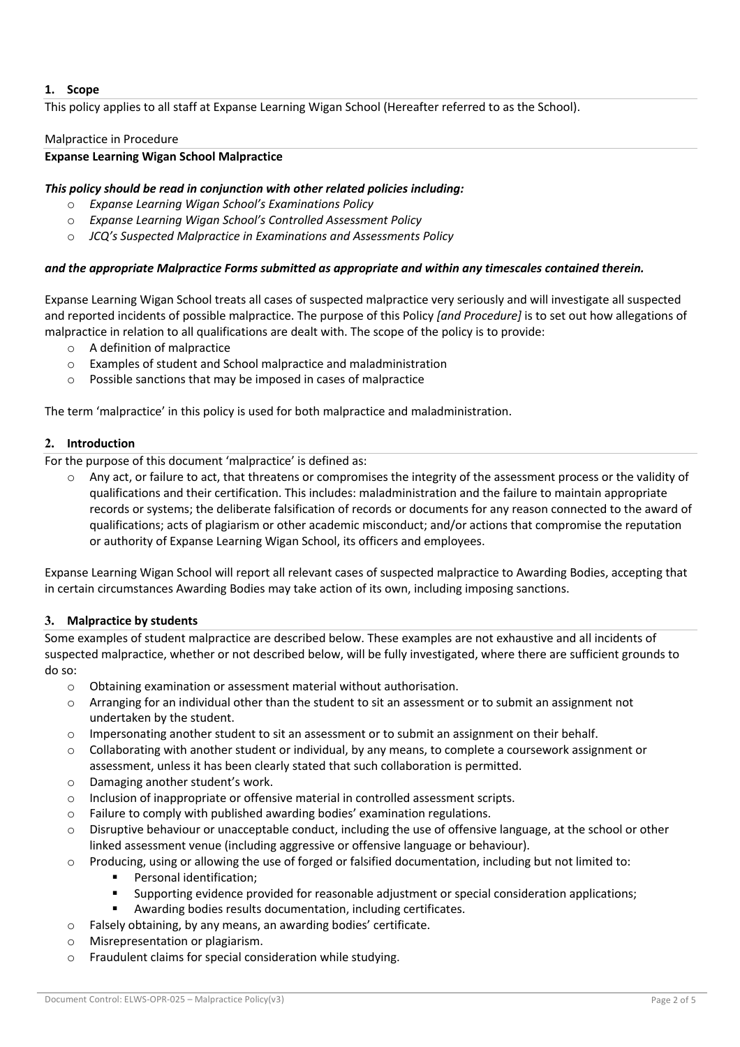## **1. Scope**

This policy applies to all staff at Expanse Learning Wigan School (Hereafter referred to as the School).

#### Malpractice in Procedure

#### **Expanse Learning Wigan School Malpractice**

## *This policy should be read in conjunction with other related policies including:*

- o *Expanse Learning Wigan School's Examinations Policy*
- o *Expanse Learning Wigan School's Controlled Assessment Policy*
- o *JCQ's Suspected Malpractice in Examinations and Assessments Policy*

#### *and the appropriate Malpractice Forms submitted as appropriate and within any timescales contained therein.*

Expanse Learning Wigan School treats all cases of suspected malpractice very seriously and will investigate all suspected and reported incidents of possible malpractice. The purpose of this Policy *[and Procedure]* is to set out how allegations of malpractice in relation to all qualifications are dealt with. The scope of the policy is to provide:

- o A definition of malpractice
- o Examples of student and School malpractice and maladministration
- o Possible sanctions that may be imposed in cases of malpractice

The term 'malpractice' in this policy is used for both malpractice and maladministration.

## **2. Introduction**

For the purpose of this document 'malpractice' is defined as:

 $\circ$  Any act, or failure to act, that threatens or compromises the integrity of the assessment process or the validity of qualifications and their certification. This includes: maladministration and the failure to maintain appropriate records or systems; the deliberate falsification of records or documents for any reason connected to the award of qualifications; acts of plagiarism or other academic misconduct; and/or actions that compromise the reputation or authority of Expanse Learning Wigan School, its officers and employees.

Expanse Learning Wigan School will report all relevant cases of suspected malpractice to Awarding Bodies, accepting that in certain circumstances Awarding Bodies may take action of its own, including imposing sanctions.

## **3. Malpractice by students**

Some examples of student malpractice are described below. These examples are not exhaustive and all incidents of suspected malpractice, whether or not described below, will be fully investigated, where there are sufficient grounds to do so:

- o Obtaining examination or assessment material without authorisation.
- o Arranging for an individual other than the student to sit an assessment or to submit an assignment not undertaken by the student.
- o Impersonating another student to sit an assessment or to submit an assignment on their behalf.
- $\circ$  Collaborating with another student or individual, by any means, to complete a coursework assignment or assessment, unless it has been clearly stated that such collaboration is permitted.
- o Damaging another student's work.
- o Inclusion of inappropriate or offensive material in controlled assessment scripts.
- o Failure to comply with published awarding bodies' examination regulations.
- o Disruptive behaviour or unacceptable conduct, including the use of offensive language, at the school or other linked assessment venue (including aggressive or offensive language or behaviour).
- o Producing, using or allowing the use of forged or falsified documentation, including but not limited to:
	- Personal identification;
	- § Supporting evidence provided for reasonable adjustment or special consideration applications;
	- Awarding bodies results documentation, including certificates.
- o Falsely obtaining, by any means, an awarding bodies' certificate.
- o Misrepresentation or plagiarism.
- o Fraudulent claims for special consideration while studying.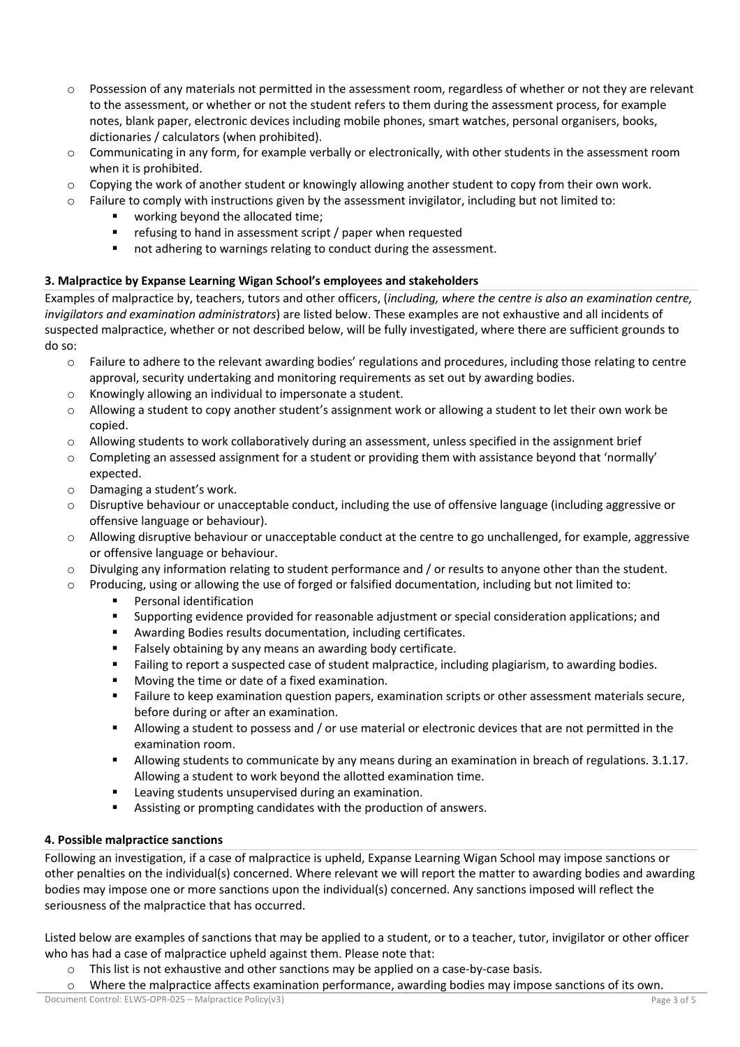- $\circ$  Possession of any materials not permitted in the assessment room, regardless of whether or not they are relevant to the assessment, or whether or not the student refers to them during the assessment process, for example notes, blank paper, electronic devices including mobile phones, smart watches, personal organisers, books, dictionaries / calculators (when prohibited).
- o Communicating in any form, for example verbally or electronically, with other students in the assessment room when it is prohibited.
- $\circ$  Copying the work of another student or knowingly allowing another student to copy from their own work.
- $\circ$  Failure to comply with instructions given by the assessment invigilator, including but not limited to:
	- working beyond the allocated time;
	- refusing to hand in assessment script / paper when requested
	- not adhering to warnings relating to conduct during the assessment.

## **3. Malpractice by Expanse Learning Wigan School's employees and stakeholders**

Examples of malpractice by, teachers, tutors and other officers, (*including, where the centre is also an examination centre, invigilators and examination administrators*) are listed below. These examples are not exhaustive and all incidents of suspected malpractice, whether or not described below, will be fully investigated, where there are sufficient grounds to do so:

- o Failure to adhere to the relevant awarding bodies' regulations and procedures, including those relating to centre approval, security undertaking and monitoring requirements as set out by awarding bodies.
- o Knowingly allowing an individual to impersonate a student.
- $\circ$  Allowing a student to copy another student's assignment work or allowing a student to let their own work be copied.
- o Allowing students to work collaboratively during an assessment, unless specified in the assignment brief
- $\circ$  Completing an assessed assignment for a student or providing them with assistance beyond that 'normally' expected.
- o Damaging a student's work.
- $\circ$  Disruptive behaviour or unacceptable conduct, including the use of offensive language (including aggressive or offensive language or behaviour).
- o Allowing disruptive behaviour or unacceptable conduct at the centre to go unchallenged, for example, aggressive or offensive language or behaviour.
- $\circ$  Divulging any information relating to student performance and / or results to anyone other than the student.
- $\circ$  Producing, using or allowing the use of forged or falsified documentation, including but not limited to:
	- Personal identification
	- § Supporting evidence provided for reasonable adjustment or special consideration applications; and
	- Awarding Bodies results documentation, including certificates.
	- Falsely obtaining by any means an awarding body certificate.
	- **■** Failing to report a suspected case of student malpractice, including plagiarism, to awarding bodies.
	- Moving the time or date of a fixed examination.
	- **•** Failure to keep examination question papers, examination scripts or other assessment materials secure, before during or after an examination.
	- § Allowing a student to possess and / or use material or electronic devices that are not permitted in the examination room.
	- Allowing students to communicate by any means during an examination in breach of regulations. 3.1.17. Allowing a student to work beyond the allotted examination time.
	- Leaving students unsupervised during an examination.
	- Assisting or prompting candidates with the production of answers.

## **4. Possible malpractice sanctions**

Following an investigation, if a case of malpractice is upheld, Expanse Learning Wigan School may impose sanctions or other penalties on the individual(s) concerned. Where relevant we will report the matter to awarding bodies and awarding bodies may impose one or more sanctions upon the individual(s) concerned. Any sanctions imposed will reflect the seriousness of the malpractice that has occurred.

Listed below are examples of sanctions that may be applied to a student, or to a teacher, tutor, invigilator or other officer who has had a case of malpractice upheld against them. Please note that:

- $\circ$  This list is not exhaustive and other sanctions may be applied on a case-by-case basis.
- o Where the malpractice affects examination performance, awarding bodies may impose sanctions of its own.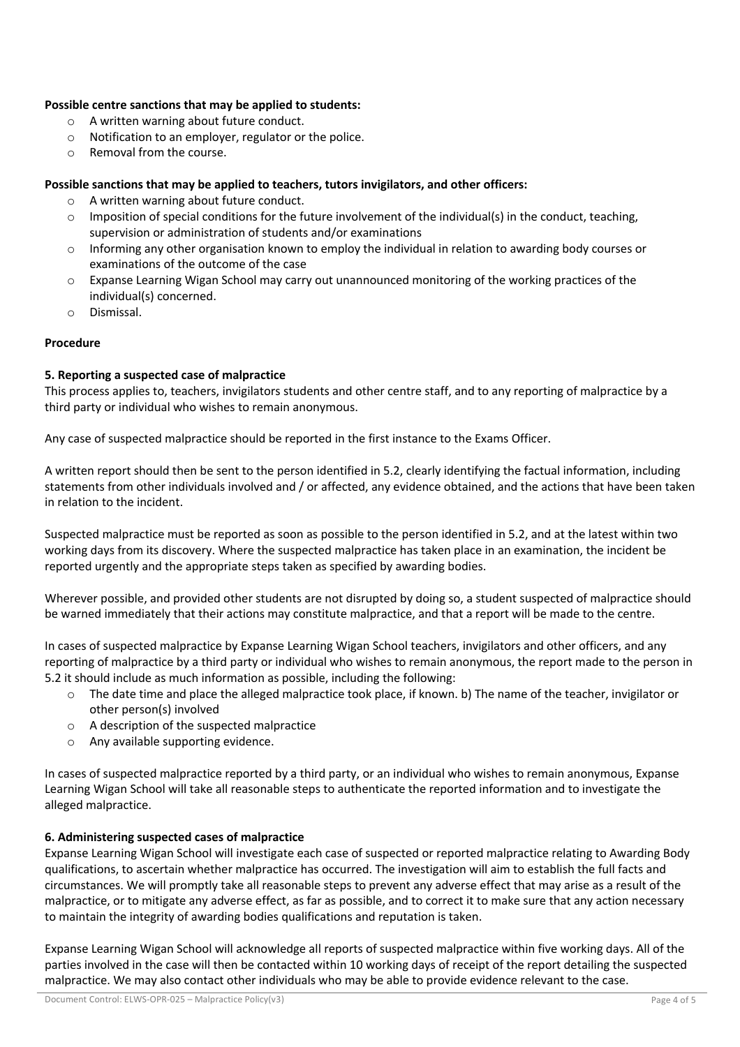## **Possible centre sanctions that may be applied to students:**

- o A written warning about future conduct.
- o Notification to an employer, regulator or the police.
- o Removal from the course.

#### **Possible sanctions that may be applied to teachers, tutors invigilators, and other officers:**

- o A written warning about future conduct.
- $\circ$  Imposition of special conditions for the future involvement of the individual(s) in the conduct, teaching, supervision or administration of students and/or examinations
- o Informing any other organisation known to employ the individual in relation to awarding body courses or examinations of the outcome of the case
- $\circ$  Expanse Learning Wigan School may carry out unannounced monitoring of the working practices of the individual(s) concerned.
- o Dismissal.

#### **Procedure**

#### **5. Reporting a suspected case of malpractice**

This process applies to, teachers, invigilators students and other centre staff, and to any reporting of malpractice by a third party or individual who wishes to remain anonymous.

Any case of suspected malpractice should be reported in the first instance to the Exams Officer.

A written report should then be sent to the person identified in 5.2, clearly identifying the factual information, including statements from other individuals involved and / or affected, any evidence obtained, and the actions that have been taken in relation to the incident.

Suspected malpractice must be reported as soon as possible to the person identified in 5.2, and at the latest within two working days from its discovery. Where the suspected malpractice has taken place in an examination, the incident be reported urgently and the appropriate steps taken as specified by awarding bodies.

Wherever possible, and provided other students are not disrupted by doing so, a student suspected of malpractice should be warned immediately that their actions may constitute malpractice, and that a report will be made to the centre.

In cases of suspected malpractice by Expanse Learning Wigan School teachers, invigilators and other officers, and any reporting of malpractice by a third party or individual who wishes to remain anonymous, the report made to the person in 5.2 it should include as much information as possible, including the following:

- o The date time and place the alleged malpractice took place, if known. b) The name of the teacher, invigilator or other person(s) involved
- o A description of the suspected malpractice
- o Any available supporting evidence.

In cases of suspected malpractice reported by a third party, or an individual who wishes to remain anonymous, Expanse Learning Wigan School will take all reasonable steps to authenticate the reported information and to investigate the alleged malpractice.

## **6. Administering suspected cases of malpractice**

Expanse Learning Wigan School will investigate each case of suspected or reported malpractice relating to Awarding Body qualifications, to ascertain whether malpractice has occurred. The investigation will aim to establish the full facts and circumstances. We will promptly take all reasonable steps to prevent any adverse effect that may arise as a result of the malpractice, or to mitigate any adverse effect, as far as possible, and to correct it to make sure that any action necessary to maintain the integrity of awarding bodies qualifications and reputation is taken.

Expanse Learning Wigan School will acknowledge all reports of suspected malpractice within five working days. All of the parties involved in the case will then be contacted within 10 working days of receipt of the report detailing the suspected malpractice. We may also contact other individuals who may be able to provide evidence relevant to the case.